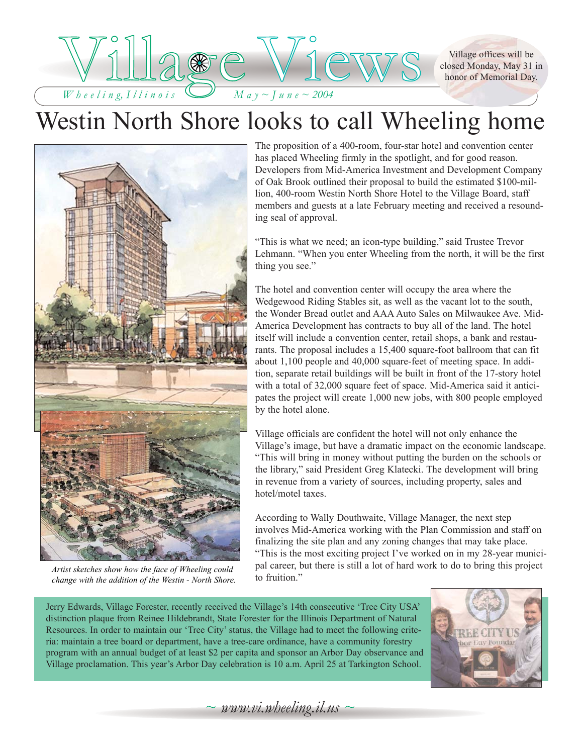Village offices will be closed Monday, May 31 in honor of Memorial Day.



## Westin North Shore looks to call Wheeling home



*Artist sketches show how the face of Wheeling could change with the addition of the Westin - North Shore.*

The proposition of a 400-room, four-star hotel and convention center has placed Wheeling firmly in the spotlight, and for good reason. Developers from Mid-America Investment and Development Company of Oak Brook outlined their proposal to build the estimated \$100-million, 400-room Westin North Shore Hotel to the Village Board, staff members and guests at a late February meeting and received a resounding seal of approval.

"This is what we need; an icon-type building," said Trustee Trevor Lehmann. "When you enter Wheeling from the north, it will be the first thing you see."

The hotel and convention center will occupy the area where the Wedgewood Riding Stables sit, as well as the vacant lot to the south, the Wonder Bread outlet and AAA Auto Sales on Milwaukee Ave. Mid-America Development has contracts to buy all of the land. The hotel itself will include a convention center, retail shops, a bank and restaurants. The proposal includes a 15,400 square-foot ballroom that can fit about 1,100 people and 40,000 square-feet of meeting space. In addition, separate retail buildings will be built in front of the 17-story hotel with a total of 32,000 square feet of space. Mid-America said it anticipates the project will create 1,000 new jobs, with 800 people employed by the hotel alone.

Village officials are confident the hotel will not only enhance the Village's image, but have a dramatic impact on the economic landscape. "This will bring in money without putting the burden on the schools or the library," said President Greg Klatecki. The development will bring in revenue from a variety of sources, including property, sales and hotel/motel taxes.

According to Wally Douthwaite, Village Manager, the next step involves Mid-America working with the Plan Commission and staff on finalizing the site plan and any zoning changes that may take place. "This is the most exciting project I've worked on in my 28-year municipal career, but there is still a lot of hard work to do to bring this project to fruition."

Jerry Edwards, Village Forester, recently received the Village's 14th consecutive 'Tree City USA' distinction plaque from Reinee Hildebrandt, State Forester for the Illinois Department of Natural Resources. In order to maintain our 'Tree City' status, the Village had to meet the following criteria: maintain a tree board or department, have a tree-care ordinance, have a community forestry program with an annual budget of at least \$2 per capita and sponsor an Arbor Day observance and Village proclamation. This year's Arbor Day celebration is 10 a.m. April 25 at Tarkington School.



*~ www.vi.wheeling.il.us ~*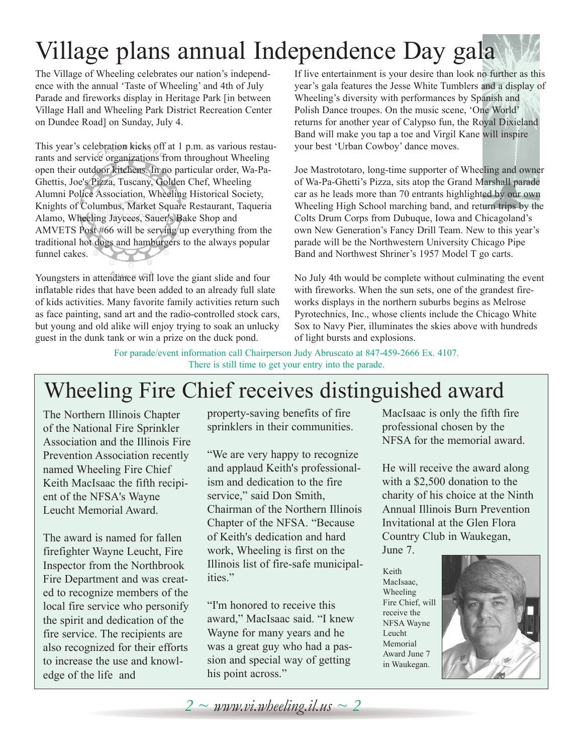# Village plans annual Independence Day gala

The Village of Wheeling celebrates our nation's independence with the annual 'Taste of Wheeling' and 4th of July Parade and fireworks display in Heritage Park [in between Village Hall and Wheeling Park District Recreation Center on Dundee Road] on Sunday, July 4.

This year's celebration kicks off at 1 p.m. as various restaurants and service organizations from throughout Wheeling open their outdoor kitchens. In no particular order, Wa-Pa-Ghettis, Joe's Pizza, Tuscany, Golden Chef, Wheeling Alumni Police Association, Wheeling Historical Society, Knights of Columbus, Market Square Restaurant, Taqueria Alamo, Wheeling Jaycees, Sauer's Bake Shop and AMVETS Post #66 will be serving up everything from the traditional hot dogs and hamburgers to the always popular funnel cakes.

Youngsters in attendance will love the giant slide and four inflatable rides that have been added to an already full slate of kids activities. Many favorite family activities return such as face painting, sand art and the radio-controlled stock cars, but young and old alike will enjoy trying to soak an unlucky guest in the dunk tank or win a prize on the duck pond.

If live entertainment is your desire than look no further as this year's gala features the Jesse White Tumblers and a display of Wheeling's diversity with performances by Spanish and Polish Dance troupes. On the music scene, 'One World' returns for another year of Calypso fun, the Royal Dixieland Band will make you tap a toe and Virgil Kane will inspire your best 'Urban Cowboy' dance moves.

Joe Mastrototaro, long-time supporter of Wheeling and owner of Wa-Pa-Ghetti's Pizza, sits atop the Grand Marshall parade car as he leads more than 70 entrants highlighted by our own Wheeling High School marching band, and return trips by the Colts Drum Corps from Dubuque, Iowa and Chicagoland's own New Generation's Fancy Drill Team. New to this year's parade will be the Northwestern University Chicago Pipe Band and Northwest Shriner's 1957 Model T go carts.

No July 4th would be complete without culminating the event with fireworks. When the sun sets, one of the grandest fireworks displays in the northern suburbs begins as Melrose Pyrotechnics, Inc., whose clients include the Chicago White Sox to Navy Pier, illuminates the skies above with hundreds of light bursts and explosions.

For parade/event information call Chairperson Judy Abruscato at 847-459-2666 Ex. 4107. There is still time to get your entry into the parade.

## Wheeling Fire Chief receives distinguished award

The Northern Illinois Chapter of the National Fire Sprinkler Association and the Illinois Fire Prevention Association recently named Wheeling Fire Chief Keith MacIsaac the fifth recipient of the NFSA's Wayne Leucht Memorial Award.

The award is named for fallen firefighter Wayne Leucht, Fire Inspector from the Northbrook Fire Department and was created to recognize members of the local fire service who personify the spirit and dedication of the fire service. The recipients are also recognized for their efforts to increase the use and knowledge of the life and

property-saving benefits of fire sprinklers in their communities.

"We are very happy to recognize and applaud Keith's professionalism and dedication to the fire service," said Don Smith, Chairman of the Northern Illinois Chapter of the NFSA. "Because of Keith's dedication and hard work, Wheeling is first on the Illinois list of fire-safe municipalities."

"I'm honored to receive this award," MacIsaac said. "I knew Wayne for many years and he was a great guy who had a passion and special way of getting his point across."

MacIsaac is only the fifth fire professional chosen by the NFSA for the memorial award.

He will receive the award along with a \$2,500 donation to the charity of his choice at the Ninth Annual Illinois Burn Prevention Invitational at the Glen Flora Country Club in Waukegan, June 7.

Keith MacIsaac, Wheeling Fire Chief, will receive the NFSA Wayne Leucht Memorial Award June 7 in Waukegan.



*2 ~ www.vi.wheeling.il.us ~ 2*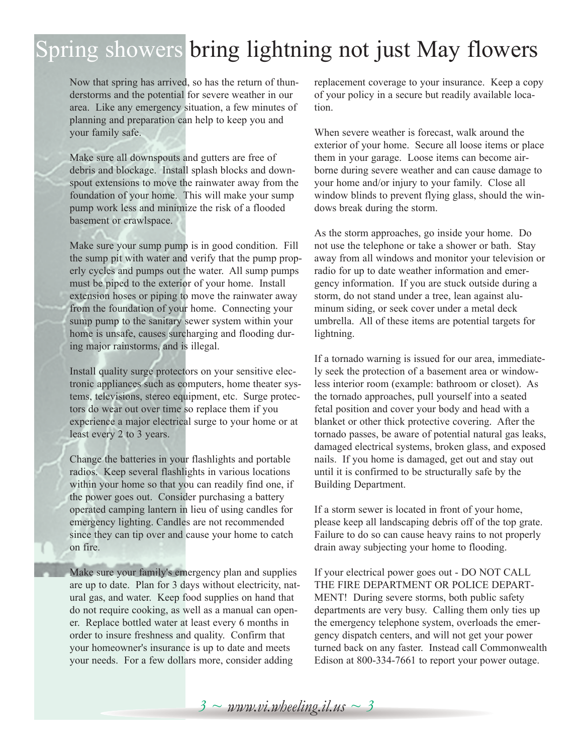## Spring showers bring lightning not just May flowers

Now that spring has arrived, so has the return of thunderstorms and the potential for severe weather in our area. Like any emergency situation, a few minutes of planning and preparation can help to keep you and your family safe.

Make sure all downspouts and gutters are free of debris and blockage. Install splash blocks and downspout extensions to move the rainwater away from the foundation of your home. This will make your sump pump work less and minimize the risk of a flooded basement or crawlspace.

Make sure your sump pump is in good condition. Fill the sump pit with water and verify that the pump properly cycles and pumps out the water. All sump pumps must be piped to the exterior of your home. Install extension hoses or piping to move the rainwater away from the foundation of your home. Connecting your sump pump to the sanitary sewer system within your home is unsafe, causes surcharging and flooding during major rainstorms, and is illegal.

Install quality surge protectors on your sensitive electronic appliances such as computers, home theater systems, televisions, stereo equipment, etc. Surge protectors do wear out over time so replace them if you experience a major electrical surge to your home or at least every 2 to 3 years.

Change the batteries in your flashlights and portable radios. Keep several flashlights in various locations within your home so that you can readily find one, if the power goes out. Consider purchasing a battery operated camping lantern in lieu of using candles for emergency lighting. Candles are not recommended since they can tip over and cause your home to catch on fire.

Make sure your family's emergency plan and supplies are up to date. Plan for 3 days without electricity, natural gas, and water. Keep food supplies on hand that do not require cooking, as well as a manual can opener. Replace bottled water at least every 6 months in order to insure freshness and quality. Confirm that your homeowner's insurance is up to date and meets your needs. For a few dollars more, consider adding

replacement coverage to your insurance. Keep a copy of your policy in a secure but readily available location.

When severe weather is forecast, walk around the exterior of your home. Secure all loose items or place them in your garage. Loose items can become airborne during severe weather and can cause damage to your home and/or injury to your family. Close all window blinds to prevent flying glass, should the windows break during the storm.

As the storm approaches, go inside your home. Do not use the telephone or take a shower or bath. Stay away from all windows and monitor your television or radio for up to date weather information and emergency information. If you are stuck outside during a storm, do not stand under a tree, lean against aluminum siding, or seek cover under a metal deck umbrella. All of these items are potential targets for lightning.

If a tornado warning is issued for our area, immediately seek the protection of a basement area or windowless interior room (example: bathroom or closet). As the tornado approaches, pull yourself into a seated fetal position and cover your body and head with a blanket or other thick protective covering. After the tornado passes, be aware of potential natural gas leaks, damaged electrical systems, broken glass, and exposed nails. If you home is damaged, get out and stay out until it is confirmed to be structurally safe by the Building Department.

If a storm sewer is located in front of your home, please keep all landscaping debris off of the top grate. Failure to do so can cause heavy rains to not properly drain away subjecting your home to flooding.

If your electrical power goes out - DO NOT CALL THE FIRE DEPARTMENT OR POLICE DEPART-MENT! During severe storms, both public safety departments are very busy. Calling them only ties up the emergency telephone system, overloads the emergency dispatch centers, and will not get your power turned back on any faster. Instead call Commonwealth Edison at 800-334-7661 to report your power outage.

*3 ~ www.vi.wheeling.il.us ~ 3*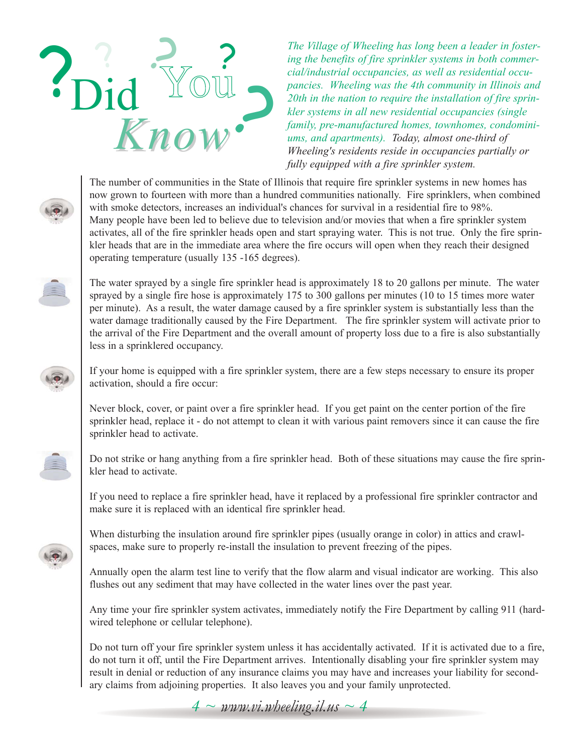

*The Village of Wheeling has long been a leader in fostering the benefits of fire sprinkler systems in both commercial/industrial occupancies, as well as residential occupancies. Wheeling was the 4th community in Illinois and 20th in the nation to require the installation of fire sprinkler systems in all new residential occupancies (single family, pre-manufactured homes, townhomes, condominiums, and apartments). Today, almost one-third of Wheeling's residents reside in occupancies partially or fully equipped with a fire sprinkler system.* 

The number of communities in the State of Illinois that require fire sprinkler systems in new homes has now grown to fourteen with more than a hundred communities nationally. Fire sprinklers, when combined with smoke detectors, increases an individual's chances for survival in a residential fire to 98%. Many people have been led to believe due to television and/or movies that when a fire sprinkler system activates, all of the fire sprinkler heads open and start spraying water. This is not true. Only the fire sprinkler heads that are in the immediate area where the fire occurs will open when they reach their designed operating temperature (usually 135 -165 degrees).

The water sprayed by a single fire sprinkler head is approximately 18 to 20 gallons per minute. The water sprayed by a single fire hose is approximately 175 to 300 gallons per minutes (10 to 15 times more water per minute). As a result, the water damage caused by a fire sprinkler system is substantially less than the water damage traditionally caused by the Fire Department. The fire sprinkler system will activate prior to the arrival of the Fire Department and the overall amount of property loss due to a fire is also substantially less in a sprinklered occupancy.

If your home is equipped with a fire sprinkler system, there are a few steps necessary to ensure its proper activation, should a fire occur:

Never block, cover, or paint over a fire sprinkler head. If you get paint on the center portion of the fire sprinkler head, replace it - do not attempt to clean it with various paint removers since it can cause the fire sprinkler head to activate.

Do not strike or hang anything from a fire sprinkler head. Both of these situations may cause the fire sprinkler head to activate.

If you need to replace a fire sprinkler head, have it replaced by a professional fire sprinkler contractor and make sure it is replaced with an identical fire sprinkler head.

When disturbing the insulation around fire sprinkler pipes (usually orange in color) in attics and crawlspaces, make sure to properly re-install the insulation to prevent freezing of the pipes.

Annually open the alarm test line to verify that the flow alarm and visual indicator are working. This also flushes out any sediment that may have collected in the water lines over the past year.

Any time your fire sprinkler system activates, immediately notify the Fire Department by calling 911 (hardwired telephone or cellular telephone).

Do not turn off your fire sprinkler system unless it has accidentally activated. If it is activated due to a fire, do not turn it off, until the Fire Department arrives. Intentionally disabling your fire sprinkler system may result in denial or reduction of any insurance claims you may have and increases your liability for secondary claims from adjoining properties. It also leaves you and your family unprotected.

 $4 \sim$  *www.vi.wheeling.il.us*  $\sim$  4





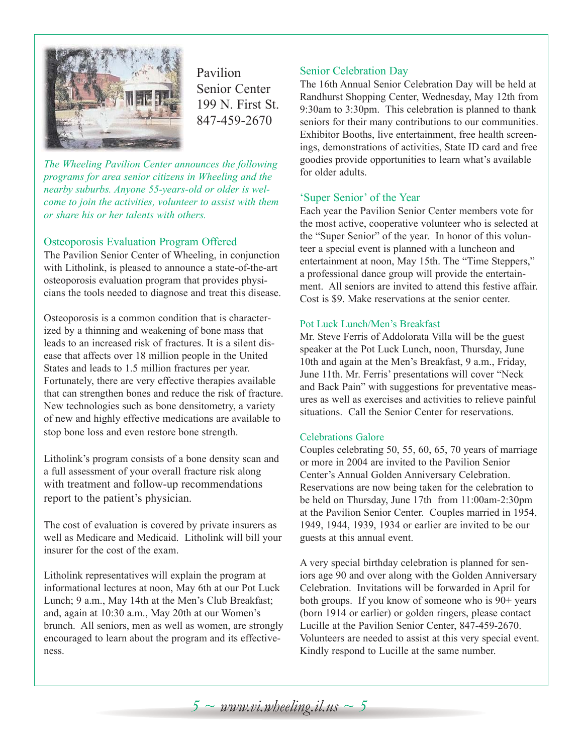

Pavilion Senior Center 199 N. First St. 847-459-2670

*The Wheeling Pavilion Center announces the following programs for area senior citizens in Wheeling and the nearby suburbs. Anyone 55-years-old or older is welcome to join the activities, volunteer to assist with them or share his or her talents with others.*

#### Osteoporosis Evaluation Program Offered

The Pavilion Senior Center of Wheeling, in conjunction with Litholink, is pleased to announce a state-of-the-art osteoporosis evaluation program that provides physicians the tools needed to diagnose and treat this disease.

Osteoporosis is a common condition that is characterized by a thinning and weakening of bone mass that leads to an increased risk of fractures. It is a silent disease that affects over 18 million people in the United States and leads to 1.5 million fractures per year. Fortunately, there are very effective therapies available that can strengthen bones and reduce the risk of fracture. New technologies such as bone densitometry, a variety of new and highly effective medications are available to stop bone loss and even restore bone strength.

Litholink's program consists of a bone density scan and a full assessment of your overall fracture risk along with treatment and follow-up recommendations report to the patient's physician.

The cost of evaluation is covered by private insurers as well as Medicare and Medicaid. Litholink will bill your insurer for the cost of the exam.

Litholink representatives will explain the program at informational lectures at noon, May 6th at our Pot Luck Lunch; 9 a.m., May 14th at the Men's Club Breakfast; and, again at 10:30 a.m., May 20th at our Women's brunch. All seniors, men as well as women, are strongly encouraged to learn about the program and its effectiveness.

#### Senior Celebration Day

The 16th Annual Senior Celebration Day will be held at Randhurst Shopping Center, Wednesday, May 12th from 9:30am to 3:30pm. This celebration is planned to thank seniors for their many contributions to our communities. Exhibitor Booths, live entertainment, free health screenings, demonstrations of activities, State ID card and free goodies provide opportunities to learn what's available for older adults.

#### 'Super Senior' of the Year

Each year the Pavilion Senior Center members vote for the most active, cooperative volunteer who is selected at the "Super Senior" of the year. In honor of this volunteer a special event is planned with a luncheon and entertainment at noon, May 15th. The "Time Steppers," a professional dance group will provide the entertainment. All seniors are invited to attend this festive affair. Cost is \$9. Make reservations at the senior center.

#### Pot Luck Lunch/Men's Breakfast

Mr. Steve Ferris of Addolorata Villa will be the guest speaker at the Pot Luck Lunch, noon, Thursday, June 10th and again at the Men's Breakfast, 9 a.m., Friday, June 11th. Mr. Ferris' presentations will cover "Neck and Back Pain" with suggestions for preventative measures as well as exercises and activities to relieve painful situations. Call the Senior Center for reservations.

#### Celebrations Galore

Couples celebrating 50, 55, 60, 65, 70 years of marriage or more in 2004 are invited to the Pavilion Senior Center's Annual Golden Anniversary Celebration. Reservations are now being taken for the celebration to be held on Thursday, June 17th from 11:00am-2:30pm at the Pavilion Senior Center. Couples married in 1954, 1949, 1944, 1939, 1934 or earlier are invited to be our guests at this annual event.

A very special birthday celebration is planned for seniors age 90 and over along with the Golden Anniversary Celebration. Invitations will be forwarded in April for both groups. If you know of someone who is 90+ years (born 1914 or earlier) or golden ringers, please contact Lucille at the Pavilion Senior Center, 847-459-2670. Volunteers are needed to assist at this very special event. Kindly respond to Lucille at the same number.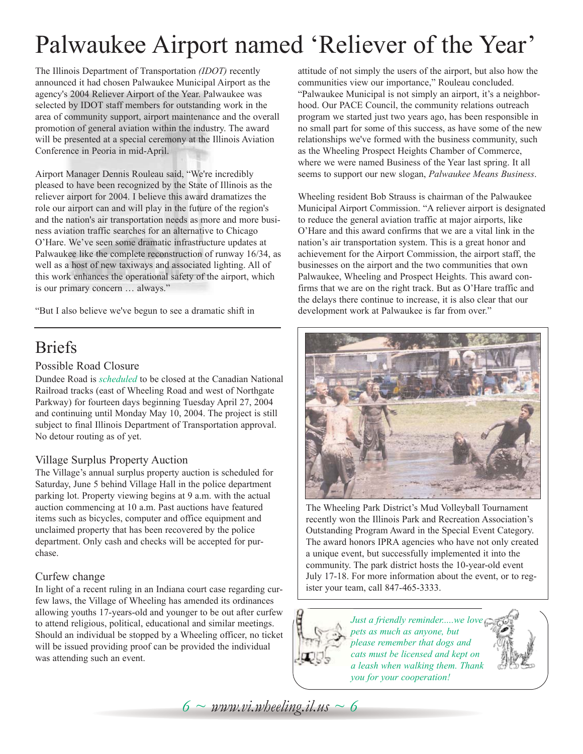# Palwaukee Airport named 'Reliever of the Year'

The Illinois Department of Transportation *(IDOT)* recently announced it had chosen Palwaukee Municipal Airport as the agency's 2004 Reliever Airport of the Year. Palwaukee was selected by IDOT staff members for outstanding work in the area of community support, airport maintenance and the overall promotion of general aviation within the industry. The award will be presented at a special ceremony at the Illinois Aviation Conference in Peoria in mid-April.

Airport Manager Dennis Rouleau said, "We're incredibly pleased to have been recognized by the State of Illinois as the reliever airport for 2004. I believe this award dramatizes the role our airport can and will play in the future of the region's and the nation's air transportation needs as more and more business aviation traffic searches for an alternative to Chicago O'Hare. We've seen some dramatic infrastructure updates at Palwaukee like the complete reconstruction of runway 16/34, as well as a host of new taxiways and associated lighting. All of this work enhances the operational safety of the airport, which is our primary concern … always."

"But I also believe we've begun to see a dramatic shift in

### Briefs

#### Possible Road Closure

Dundee Road is *scheduled* to be closed at the Canadian National Railroad tracks (east of Wheeling Road and west of Northgate Parkway) for fourteen days beginning Tuesday April 27, 2004 and continuing until Monday May 10, 2004. The project is still subject to final Illinois Department of Transportation approval. No detour routing as of yet.

#### Village Surplus Property Auction

The Village's annual surplus property auction is scheduled for Saturday, June 5 behind Village Hall in the police department parking lot. Property viewing begins at 9 a.m. with the actual auction commencing at 10 a.m. Past auctions have featured items such as bicycles, computer and office equipment and unclaimed property that has been recovered by the police department. Only cash and checks will be accepted for purchase.

#### Curfew change

In light of a recent ruling in an Indiana court case regarding curfew laws, the Village of Wheeling has amended its ordinances allowing youths 17-years-old and younger to be out after curfew to attend religious, political, educational and similar meetings. Should an individual be stopped by a Wheeling officer, no ticket will be issued providing proof can be provided the individual was attending such an event.

attitude of not simply the users of the airport, but also how the communities view our importance," Rouleau concluded. "Palwaukee Municipal is not simply an airport, it's a neighborhood. Our PACE Council, the community relations outreach program we started just two years ago, has been responsible in no small part for some of this success, as have some of the new relationships we've formed with the business community, such as the Wheeling Prospect Heights Chamber of Commerce, where we were named Business of the Year last spring. It all seems to support our new slogan, *Palwaukee Means Business*.

Wheeling resident Bob Strauss is chairman of the Palwaukee Municipal Airport Commission. "A reliever airport is designated to reduce the general aviation traffic at major airports, like O'Hare and this award confirms that we are a vital link in the nation's air transportation system. This is a great honor and achievement for the Airport Commission, the airport staff, the businesses on the airport and the two communities that own Palwaukee, Wheeling and Prospect Heights. This award confirms that we are on the right track. But as O'Hare traffic and the delays there continue to increase, it is also clear that our development work at Palwaukee is far from over."



The Wheeling Park District's Mud Volleyball Tournament recently won the Illinois Park and Recreation Association's Outstanding Program Award in the Special Event Category. The award honors IPRA agencies who have not only created a unique event, but successfully implemented it into the community. The park district hosts the 10-year-old event July 17-18. For more information about the event, or to register your team, call 847-465-3333.



*Just a friendly reminder.....we love pets as much as anyone, but please remember that dogs and cats must be licensed and kept on a leash when walking them. Thank you for your cooperation!*

 $6 \sim$  *www.vi.wheeling.il.us*  $\sim 6$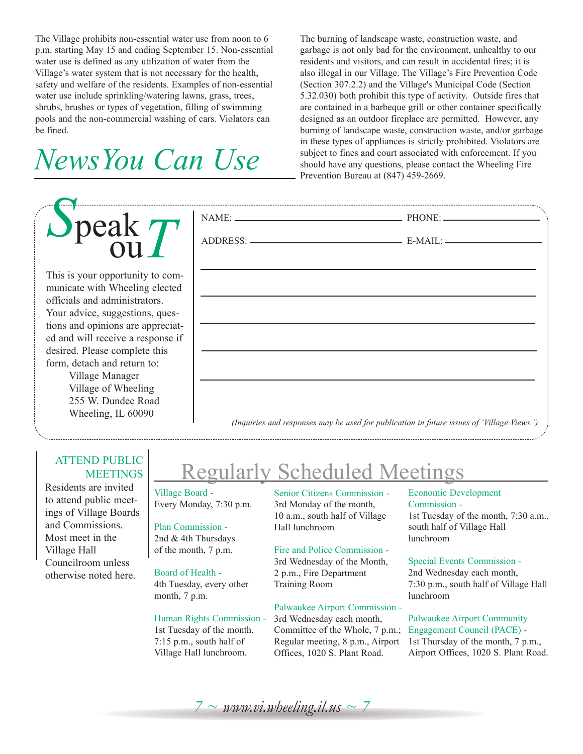The Village prohibits non-essential water use from noon to 6 p.m. starting May 15 and ending September 15. Non-essential water use is defined as any utilization of water from the Village's water system that is not necessary for the health, safety and welfare of the residents. Examples of non-essential water use include sprinkling/watering lawns, grass, trees, shrubs, brushes or types of vegetation, filling of swimming pools and the non-commercial washing of cars. Violators can be fined.

# *NewsYou Can Use*

| $\sum$ peak $T$                                                                                                                                                                                                                                                                                                                                  |                                                                                            |  |  |
|--------------------------------------------------------------------------------------------------------------------------------------------------------------------------------------------------------------------------------------------------------------------------------------------------------------------------------------------------|--------------------------------------------------------------------------------------------|--|--|
|                                                                                                                                                                                                                                                                                                                                                  |                                                                                            |  |  |
| This is your opportunity to com-<br>municate with Wheeling elected<br>officials and administrators.<br>Your advice, suggestions, ques-<br>tions and opinions are appreciat-<br>ed and will receive a response if<br>desired. Please complete this<br>form, detach and return to:<br>Village Manager<br>Village of Wheeling<br>255 W. Dundee Road |                                                                                            |  |  |
| Wheeling, IL 60090                                                                                                                                                                                                                                                                                                                               | (Inquiries and responses may be used for publication in future issues of 'Village Views.') |  |  |

#### ATTEND PUBLIC **MEETINGS**

Residents are invited to attend public meetings of Village Boards and Commissions. Most meet in the Village Hall Councilroom unless otherwise noted here.

## Regularly Scheduled Meetings

Village Board - Every Monday, 7:30 p.m.

#### Plan Commission - 2nd & 4th Thursdays

of the month, 7 p.m.

#### Board of Health -

4th Tuesday, every other month, 7 p.m.

#### Human Rights Commission -

1st Tuesday of the month, 7:15 p.m., south half of Village Hall lunchroom.

Senior Citizens Commission - 3rd Monday of the month, 10 a.m., south half of Village Hall lunchroom

#### Fire and Police Commission -

3rd Wednesday of the Month, 2 p.m., Fire Department Training Room

#### Palwaukee Airport Commission -

3rd Wednesday each month, Committee of the Whole, 7 p.m.; Regular meeting, 8 p.m., Airport Offices, 1020 S. Plant Road.

#### Economic Development Commission - 1st Tuesday of the month, 7:30 a.m., south half of Village Hall lunchroom

Special Events Commission -

2nd Wednesday each month, 7:30 p.m., south half of Village Hall lunchroom

Palwaukee Airport Community Engagement Council (PACE) - 1st Thursday of the month, 7 p.m., Airport Offices, 1020 S. Plant Road.

 $7 \sim$  www.vi.wheeling.il.us  $\sim$  7

The burning of landscape waste, construction waste, and garbage is not only bad for the environment, unhealthy to our residents and visitors, and can result in accidental fires; it is also illegal in our Village. The Village's Fire Prevention Code (Section 307.2.2) and the Village's Municipal Code (Section 5.32.030) both prohibit this type of activity. Outside fires that are contained in a barbeque grill or other container specifically designed as an outdoor fireplace are permitted. However, any burning of landscape waste, construction waste, and/or garbage in these types of appliances is strictly prohibited. Violators are subject to fines and court associated with enforcement. If you should have any questions, please contact the Wheeling Fire Prevention Bureau at (847) 459-2669.